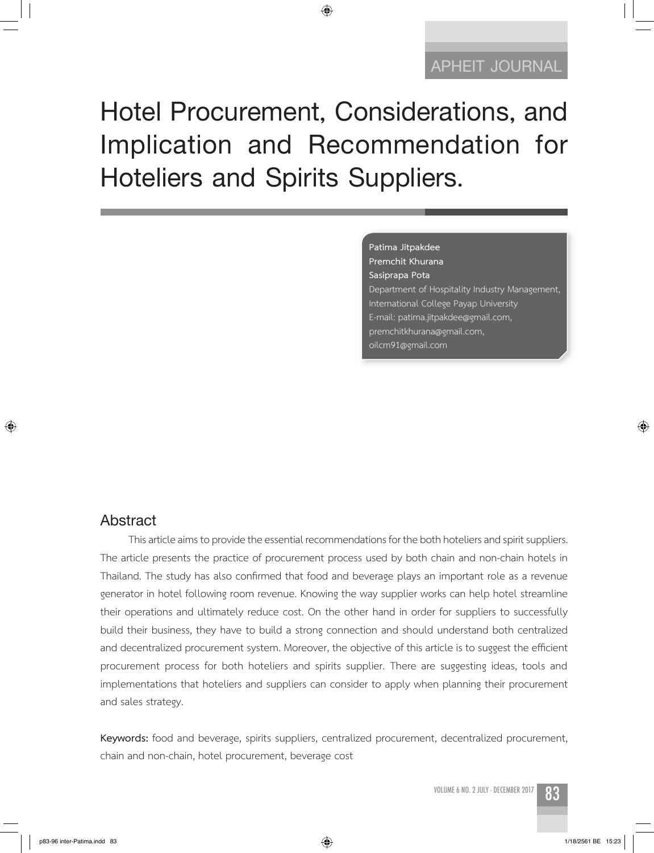# **Hotel Procurement, Considerations, and Implication and Recommendation for Hoteliers and Spirits Suppliers.**

◈

#### **Patima Jitpakdee Premchit Khurana**

**Sasiprapa Pota** Department of Hospitality Industry Management, International College Payap University E-mail: patima.jitpakdee@gmail.com, premchitkhurana@gmail.com, oilcm91@gmail.com

#### **Abstract**

 $\bigcirc$ 

This article aims to provide the essential recommendations for the both hoteliers and spirit suppliers. The article presents the practice of procurement process used by both chain and non-chain hotels in Thailand. The study has also confirmed that food and beverage plays an important role as a revenue generator in hotel following room revenue. Knowing the way supplier works can help hotel streamline their operations and ultimately reduce cost. On the other hand in order for suppliers to successfully build their business, they have to build a strong connection and should understand both centralized and decentralized procurement system. Moreover, the objective of this article is to suggest the efficient procurement process for both hoteliers and spirits supplier. There are suggesting ideas, tools and implementations that hoteliers and suppliers can consider to apply when planning their procurement and sales strategy.

**Keywords:** food and beverage, spirits suppliers, centralized procurement, decentralized procurement, chain and non-chain, hotel procurement, beverage cost

 $\bigoplus$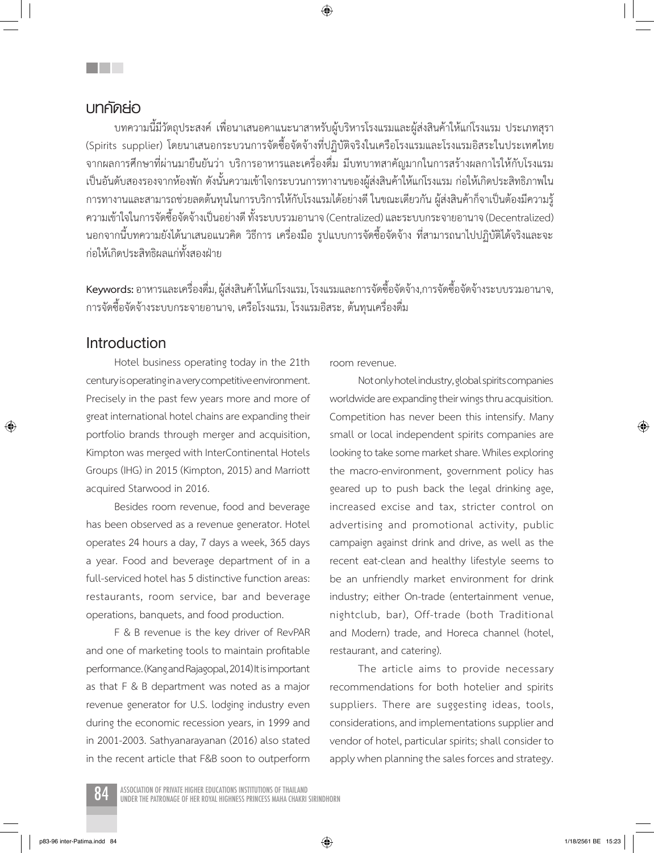#### **บทคัดย่อ**

an an a

บทความนี้มีวัตถุประสงค์ เพื่อนาเสนอคาแนะนาสาหรับผู้บริหารโรงแรมและผู้ส่งสินค้าให้แก่โรงแรม ประเภทสุรา (Spirits supplier) โดยนาเสนอกระบวนการจัดซื้อจัดจ้างที่ปฏิบัติจริงในเครือโรงแรมและโรงแรมอิสระในประเทศไทย จากผลการศึกษาที่ผ่านมายืนยันว่า บริการอาหารและเครื่องดื่ม มีบทบาทสาคัญมากในการสร้างผลกาไรให้กับโรงแรม เป็นอันดับสองรองจากห้องพัก ดังนั้นความเข้าใจกระบวนการทางานของผู้ส่งสินค้าให้แก่โรงแรม ก่อให้เกิดประสิทธิภาพใน การทางานและสามารถช่วยลดต้นทุนในการบริการให้กับโรงแรมได้อย่างดี ในขณะเดียวกัน ผู้ส่งสินค้าก็จาเป็นต้องมีความรู้ ความเข้าใจในการจัดซื้อจัดจ้างเป็นอย่างดี ทั้งระบบรวมอานาจ (Centralized) และระบบกระจายอานาจ (Decentralized) นอกจากนี้บทความยังได้นาเสนอแนวคิด วิธีการ เครื่องมือ รูปแบบการจัดซื้อจัดจ้าง ที่สามารถนาไปปฏิบัติได้จริงและจะ ก่อให้เกิดประสิทธิผลแก่ทั้งสองฝ่าย

**Keywords:** อาหารและเครื่องดื่ม, ผู้ส่งสินค้าให้แก่โรงแรม, โรงแรมและการจัดซื้อจัดจ้าง,การจัดซื้อจัดจ้างระบบรวมอานาจ, การจัดซื้อจัดจ้างระบบกระจายอานาจ, เครือโรงแรม, โรงแรมอิสระ, ต้นทุนเครื่องดื่ม

#### **Introduction**

⊕

Hotel business operating today in the 21th century is operating in a very competitive environment. Precisely in the past few years more and more of great international hotel chains are expanding their portfolio brands through merger and acquisition, Kimpton was merged with InterContinental Hotels Groups (IHG) in 2015 (Kimpton, 2015) and Marriott acquired Starwood in 2016.

Besides room revenue, food and beverage has been observed as a revenue generator. Hotel operates 24 hours a day, 7 days a week, 365 days a year. Food and beverage department of in a full-serviced hotel has 5 distinctive function areas: restaurants, room service, bar and beverage operations, banquets, and food production.

F & B revenue is the key driver of RevPAR and one of marketing tools to maintain profitable performance. (Kang and Rajagopal, 2014) It is important as that F & B department was noted as a major revenue generator for U.S. lodging industry even during the economic recession years, in 1999 and in 2001-2003. Sathyanarayanan (2016) also stated in the recent article that F&B soon to outperform

room revenue.

Not only hotel industry, global spirits companies worldwide are expanding their wings thru acquisition. Competition has never been this intensify. Many small or local independent spirits companies are looking to take some market share. Whiles exploring the macro-environment, government policy has geared up to push back the legal drinking age, increased excise and tax, stricter control on advertising and promotional activity, public campaign against drink and drive, as well as the recent eat-clean and healthy lifestyle seems to be an unfriendly market environment for drink industry; either On-trade (entertainment venue, nightclub, bar), Off-trade (both Traditional and Modern) trade, and Horeca channel (hotel, restaurant, and catering).

The article aims to provide necessary recommendations for both hotelier and spirits suppliers. There are suggesting ideas, tools, considerations, and implementations supplier and vendor of hotel, particular spirits; shall consider to apply when planning the sales forces and strategy.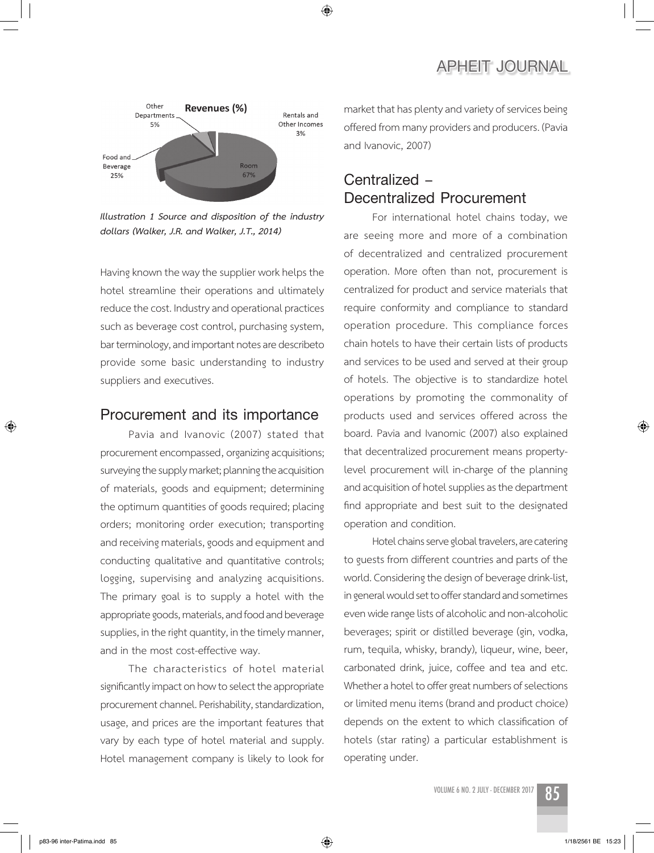

◈

*Illustration 1 Source and disposition of the industry dollars (Walker, J.R. and Walker, J.T., 2014)*

Having known the way the supplier work helps the hotel streamline their operations and ultimately reduce the cost. Industry and operational practices such as beverage cost control, purchasing system, bar terminology, and important notes are describeto provide some basic understanding to industry suppliers and executives.

#### **Procurement and its importance**

Pavia and Ivanovic (2007) stated that procurement encompassed, organizing acquisitions; surveying the supply market; planning the acquisition of materials, goods and equipment; determining the optimum quantities of goods required; placing orders; monitoring order execution; transporting and receiving materials, goods and equipment and conducting qualitative and quantitative controls; logging, supervising and analyzing acquisitions. The primary goal is to supply a hotel with the appropriate goods, materials, and food and beverage supplies, in the right quantity, in the timely manner, and in the most cost-effective way.

The characteristics of hotel material significantly impact on how to select the appropriate procurement channel. Perishability, standardization, usage, and prices are the important features that vary by each type of hotel material and supply. Hotel management company is likely to look for

market that has plenty and variety of services being offered from many providers and producers. (Pavia and Ivanovic, 2007)

# **Centralized – Decentralized Procurement**

For international hotel chains today, we are seeing more and more of a combination of decentralized and centralized procurement operation. More often than not, procurement is centralized for product and service materials that require conformity and compliance to standard operation procedure. This compliance forces chain hotels to have their certain lists of products and services to be used and served at their group of hotels. The objective is to standardize hotel operations by promoting the commonality of products used and services offered across the board. Pavia and Ivanomic (2007) also explained that decentralized procurement means propertylevel procurement will in-charge of the planning and acquisition of hotel supplies as the department find appropriate and best suit to the designated operation and condition.

Hotel chains serve global travelers, are catering to guests from different countries and parts of the world. Considering the design of beverage drink-list, in general would set to offer standard and sometimes even wide range lists of alcoholic and non-alcoholic beverages; spirit or distilled beverage (gin, vodka, rum, tequila, whisky, brandy), liqueur, wine, beer, carbonated drink, juice, coffee and tea and etc. Whether a hotel to offer great numbers of selections or limited menu items (brand and product choice) depends on the extent to which classification of hotels (star rating) a particular establishment is operating under.



⊕

 $\bigoplus$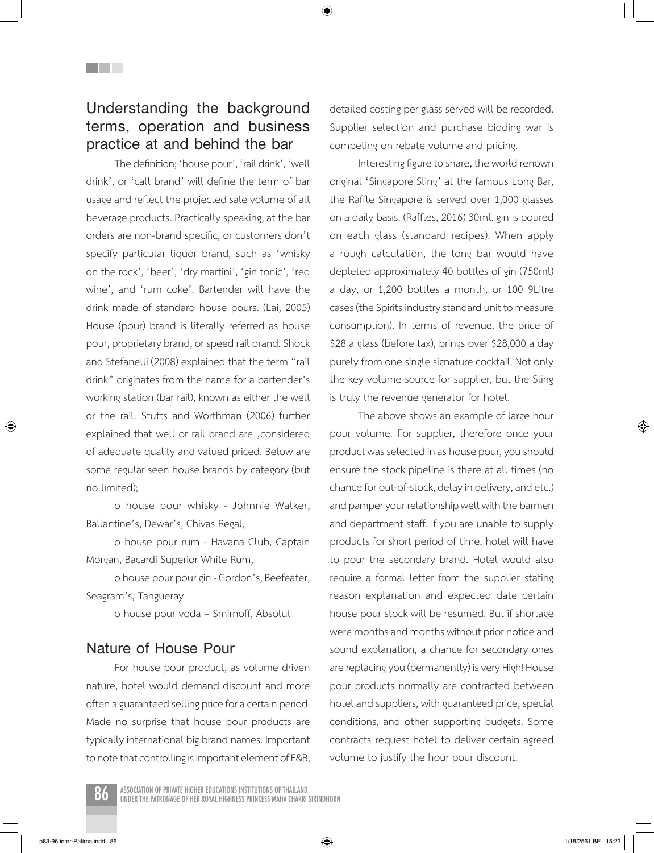**Understanding the background terms, operation and business practice at and behind the bar**

**THE SEA** 

The definition; 'house pour', 'rail drink', 'well drink', or 'call brand' will define the term of bar usage and reflect the projected sale volume of all beverage products. Practically speaking, at the bar orders are non-brand specific, or customers don't specify particular liquor brand, such as 'whisky on the rock', 'beer', 'dry martini', 'gin tonic', 'red wine', and 'rum coke'. Bartender will have the drink made of standard house pours. (Lai, 2005) House (pour) brand is literally referred as house pour, proprietary brand, or speed rail brand. Shock and Stefanelli (2008) explained that the term "rail drink" originates from the name for a bartender's working station (bar rail), known as either the well or the rail. Stutts and Worthman (2006) further explained that well or rail brand are , considered of adequate quality and valued priced. Below are some regular seen house brands by category (but no limited);

o house pour whisky - Johnnie Walker, Ballantine's, Dewar's, Chivas Regal,

o house pour rum - Havana Club, Captain Morgan, Bacardi Superior White Rum,

o house pour pour gin - Gordon's, Beefeater, Seagram's, Tangueray

o house pour voda – Smirnoff, Absolut

#### **Nature of House Pour**

For house pour product, as volume driven nature, hotel would demand discount and more often a guaranteed selling price for a certain period. Made no surprise that house pour products are typically international big brand names. Important to note that controlling is important element of F&B, detailed costing per glass served will be recorded. Supplier selection and purchase bidding war is competing on rebate volume and pricing.

◈

Interesting figure to share, the world renown original 'Singapore Sling' at the famous Long Bar, the Raffle Singapore is served over 1,000 glasses on a daily basis. (Raffles, 2016) 30ml. gin is poured on each glass (standard recipes). When apply a rough calculation, the long bar would have depleted approximately 40 bottles of gin (750ml) a day, or 1,200 bottles a month, or 100 9Litre cases (the Spirits industry standard unit to measure consumption). In terms of revenue, the price of \$28 a glass (before tax), brings over \$28,000 a day purely from one single signature cocktail. Not only the key volume source for supplier, but the Sling is truly the revenue generator for hotel.

The above shows an example of large hour pour volume. For supplier, therefore once your product was selected in as house pour, you should ensure the stock pipeline is there at all times (no chance for out-of-stock, delay in delivery, and etc.) and pamper your relationship well with the barmen and department staff. If you are unable to supply products for short period of time, hotel will have to pour the secondary brand. Hotel would also require a formal letter from the supplier stating reason explanation and expected date certain house pour stock will be resumed. But if shortage were months and months without prior notice and sound explanation, a chance for secondary ones are replacing you (permanently) is very High! House pour products normally are contracted between hotel and suppliers, with guaranteed price, special conditions, and other supporting budgets. Some contracts request hotel to deliver certain agreed volume to justify the hour pour discount.

⊕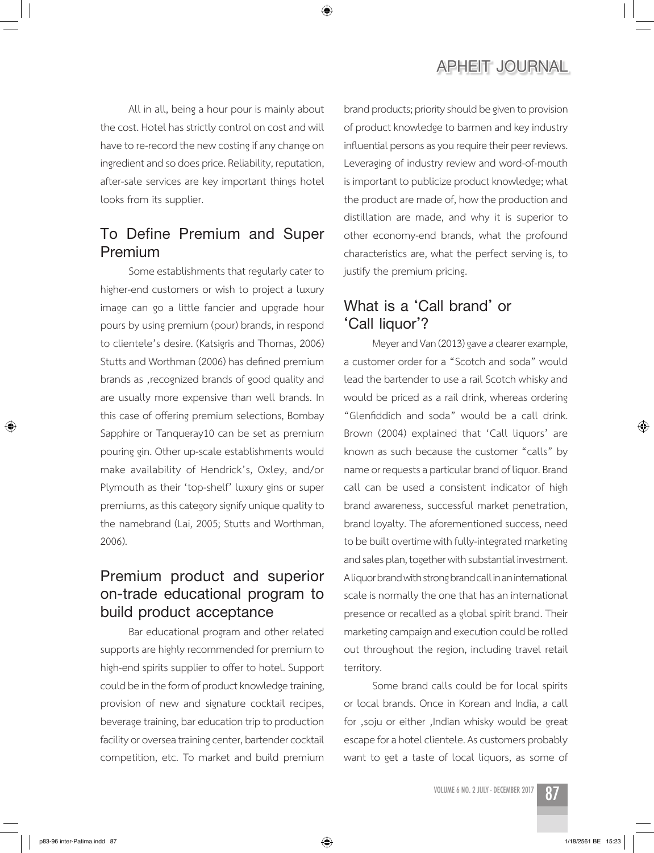## **APHEIT JOURNAL**

All in all, being a hour pour is mainly about the cost. Hotel has strictly control on cost and will have to re-record the new costing if any change on ingredient and so does price. Reliability, reputation, after-sale services are key important things hotel looks from its supplier.

# **To Define Premium and Super Premium**

Some establishments that regularly cater to higher-end customers or wish to project a luxury image can go a little fancier and upgrade hour pours by using premium (pour) brands, in respond to clientele's desire. (Katsigris and Thomas, 2006) Stutts and Worthman (2006) has defined premium brands as , recognized brands of good quality and are usually more expensive than well brands. In this case of offering premium selections, Bombay Sapphire or Tanqueray10 can be set as premium pouring gin. Other up-scale establishments would make availability of Hendrick's, Oxley, and/or Plymouth as their 'top-shelf' luxury gins or super premiums, as this category signify unique quality to the namebrand (Lai, 2005; Stutts and Worthman, 2006).

# **Premium product and superior on-trade educational program to build product acceptance**

Bar educational program and other related supports are highly recommended for premium to high-end spirits supplier to offer to hotel. Support could be in the form of product knowledge training, provision of new and signature cocktail recipes, beverage training, bar education trip to production facility or oversea training center, bartender cocktail competition, etc. To market and build premium

brand products; priority should be given to provision of product knowledge to barmen and key industry influential persons as you require their peer reviews. Leveraging of industry review and word-of-mouth is important to publicize product knowledge; what the product are made of, how the production and distillation are made, and why it is superior to other economy-end brands, what the profound characteristics are, what the perfect serving is, to justify the premium pricing.

# **What is a 'Call brand' or 'Call liquor'?**

Meyer and Van (2013) gave a clearer example, a customer order for a "Scotch and soda" would lead the bartender to use a rail Scotch whisky and would be priced as a rail drink, whereas ordering "Glenfiddich and soda" would be a call drink. Brown (2004) explained that 'Call liquors' are known as such because the customer "calls" by name or requests a particular brand of liquor. Brand call can be used a consistent indicator of high brand awareness, successful market penetration, brand loyalty. The aforementioned success, need to be built overtime with fully-integrated marketing and sales plan, together with substantial investment. A liquor brand with strong brand call in an international scale is normally the one that has an international presence or recalled as a global spirit brand. Their marketing campaign and execution could be rolled out throughout the region, including travel retail territory.

Some brand calls could be for local spirits or local brands. Once in Korean and India, a call for ,soju or either , Indian whisky would be great escape for a hotel clientele. As customers probably want to get a taste of local liquors, as some of

VOLUME 6 NO. 2 JULY - DECEMBER 2017 87



⊕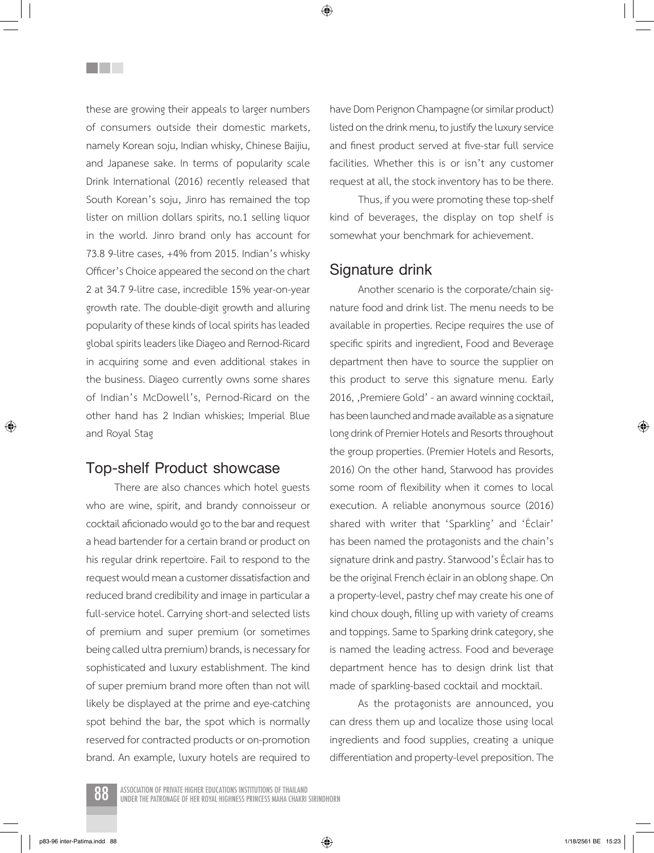these are growing their appeals to larger numbers of consumers outside their domestic markets, namely Korean soju, Indian whisky, Chinese Baijiu, and Japanese sake. In terms of popularity scale Drink International (2016) recently released that South Korean's soju, Jinro has remained the top lister on million dollars spirits, no.1 selling liquor in the world. Jinro brand only has account for 73.8 9-litre cases, +4% from 2015. Indian's whisky Officer's Choice appeared the second on the chart 2 at 34.7 9-litre case, incredible 15% year-on-year growth rate. The double-digit growth and alluring popularity of these kinds of local spirits has leaded global spirits leaders like Diageo and Rernod-Ricard in acquiring some and even additional stakes in the business. Diageo currently owns some shares of Indian's McDowell's, Pernod-Ricard on the other hand has 2 Indian whiskies; Imperial Blue and Royal Stag

<u>Filmer</u>

#### **Top-shelf Product showcase**

There are also chances which hotel guests who are wine, spirit, and brandy connoisseur or cocktail aficionado would go to the bar and request a head bartender for a certain brand or product on his regular drink repertoire. Fail to respond to the request would mean a customer dissatisfaction and reduced brand credibility and image in particular a full-service hotel. Carrying short-and selected lists of premium and super premium (or sometimes being called ultra premium) brands, is necessary for sophisticated and luxury establishment. The kind of super premium brand more often than not will likely be displayed at the prime and eye-catching spot behind the bar, the spot which is normally reserved for contracted products or on-promotion brand. An example, luxury hotels are required to have Dom Perignon Champagne (or similar product) listed on the drink menu, to justify the luxury service and finest product served at five-star full service facilities. Whether this is or isn't any customer request at all, the stock inventory has to be there.

Thus, if you were promoting these top-shelf kind of beverages, the display on top shelf is somewhat your benchmark for achievement.

#### **Signature drink**

Another scenario is the corporate/chain signature food and drink list. The menu needs to be available in properties. Recipe requires the use of specific spirits and ingredient, Food and Beverage department then have to source the supplier on this product to serve this signature menu. Early 2016, ,Premiere Gold' - an award winning cocktail, has been launched and made available as a signature long drink of Premier Hotels and Resorts throughout the group properties. (Premier Hotels and Resorts, 2016) On the other hand, Starwood has provides some room of flexibility when it comes to local execution. A reliable anonymous source (2016) shared with writer that 'Sparkling' and 'Éclair' has been named the protagonists and the chain's signature drink and pastry. Starwood's Éclair has to be the original French éclair in an oblong shape. On a property-level, pastry chef may create his one of kind choux dough, filling up with variety of creams and toppings. Same to Sparking drink category, she is named the leading actress. Food and beverage department hence has to design drink list that made of sparkling-based cocktail and mocktail.

As the protagonists are announced, you can dress them up and localize those using local ingredients and food supplies, creating a unique differentiation and property-level preposition. The

⊕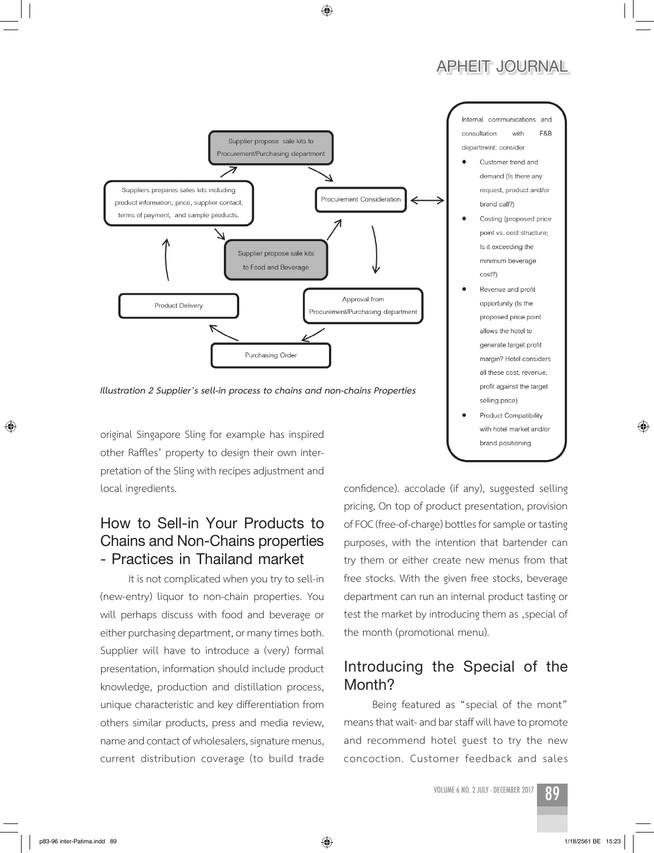# **APHEIT JOURNAL**



Internal communications and consultation with F&B department: consider

- Customer trend and demand (Is there any request, product and/or brand call?)
- Costing (proposed price point vs. cost structure; Is it exceeding the minimum beverage cost?)
- Revenue and profit opportunity (Is the proposed price point allows the hotel to generate target profit margin? Hotel considers all these cost, revenue, profit against the target selling price)
- **Product Compatibility** with hotel market and/or brand positioning

*Illustration 2 Supplier's sell-in process to chains and non-chains Properties*

original Singapore Sling for example has inspired other Raffles' property to design their own interpretation of the Sling with recipes adjustment and local ingredients.

# **How to Sell-in Your Products to Chains and Non-Chains properties - Practices in Thailand market**

It is not complicated when you try to sell-in (new-entry) liquor to non-chain properties. You will perhaps discuss with food and beverage or either purchasing department, or many times both. Supplier will have to introduce a (very) formal presentation, information should include product knowledge, production and distillation process, unique characteristic and key differentiation from others similar products, press and media review, name and contact of wholesalers, signature menus, current distribution coverage (to build trade

confidence). accolade (if any), suggested selling pricing, On top of product presentation, provision of FOC (free-of-charge) bottles for sample or tasting purposes, with the intention that bartender can try them or either create new menus from that free stocks. With the given free stocks, beverage department can run an internal product tasting or test the market by introducing them as , special of the month (promotional menu).

# Introducing the Special of the **Month?**

Being featured as "special of the mont" means that wait- and bar staff will have to promote and recommend hotel guest to try the new concoction. Customer feedback and sales

VOLUME 6 NO. 2 JULY - DECEMBER 2017 899



⊕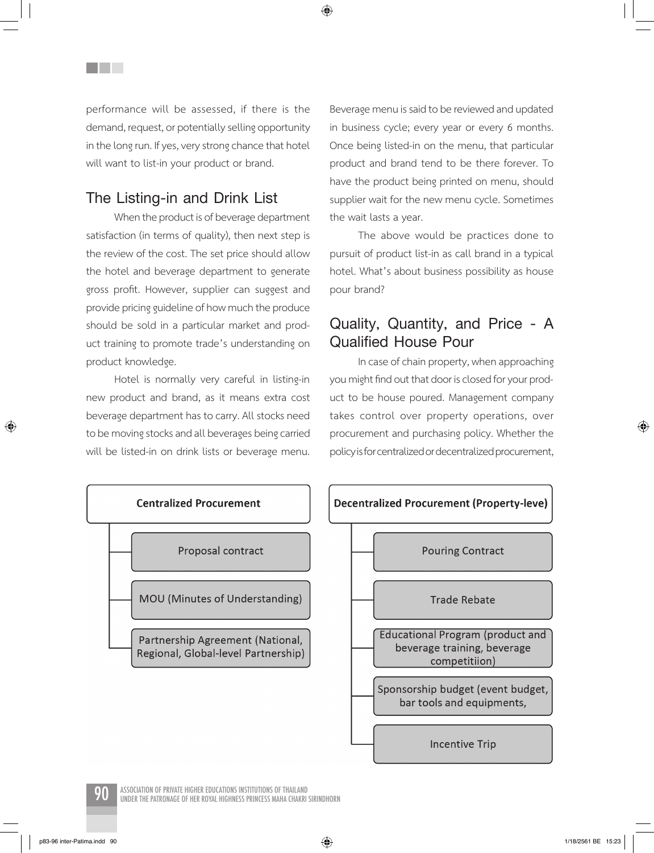performance will be assessed, if there is the demand, request, or potentially selling opportunity in the long run. If yes, very strong chance that hotel will want to list-in your product or brand.

## **The Listing-in and Drink List**

<u>Filmer</u>

When the product is of beverage department satisfaction (in terms of quality), then next step is the review of the cost. The set price should allow the hotel and beverage department to generate gross profit. However, supplier can suggest and provide pricing guideline of how much the produce should be sold in a particular market and product training to promote trade's understanding on product knowledge.

Hotel is normally very careful in listing-in new product and brand, as it means extra cost beverage department has to carry. All stocks need to be moving stocks and all beverages being carried will be listed-in on drink lists or beverage menu.

Beverage menu is said to be reviewed and updated in business cycle; every year or every 6 months. Once being listed-in on the menu, that particular product and brand tend to be there forever. To have the product being printed on menu, should supplier wait for the new menu cycle. Sometimes the wait lasts a year.

The above would be practices done to pursuit of product list-in as call brand in a typical hotel. What's about business possibility as house pour brand?

## **Quality, Quantity, and Price - A Qualified House Pour**

In case of chain property, when approaching you might find out that door is closed for your product to be house poured. Management company takes control over property operations, over procurement and purchasing policy. Whether the policy is for centralized or decentralized procurement,



◈

ASSOCIATION OF PRIVATE HIGHER EDUCATIONS INSTITUTIONS OF THAILAND<br>UNDER THE PATRONAGE OF HER ROYAL HIGHNESS PRINCESS MAHA CHAKRI SIRINDHORN

⊕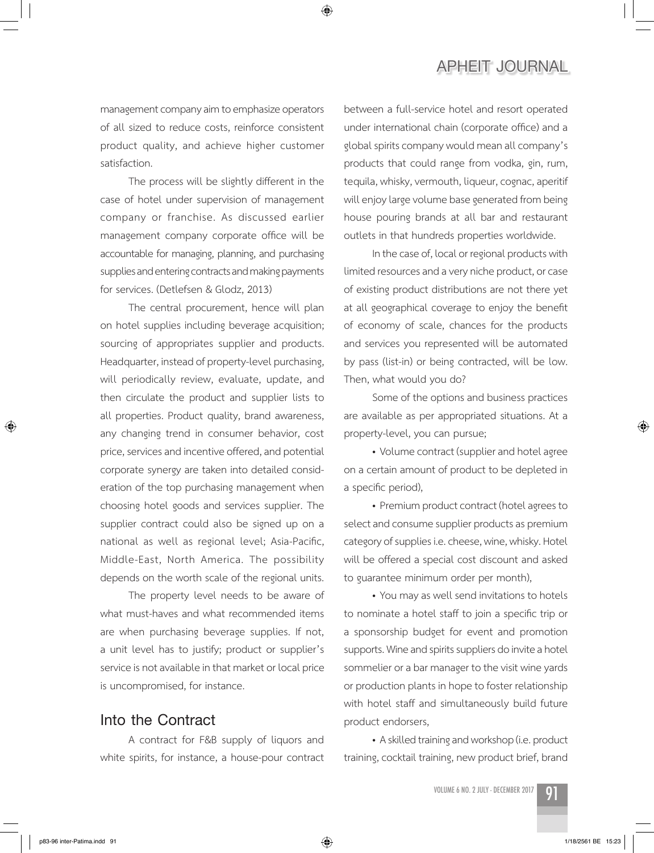management company aim to emphasize operators of all sized to reduce costs, reinforce consistent product quality, and achieve higher customer satisfaction.

◈

The process will be slightly different in the case of hotel under supervision of management company or franchise. As discussed earlier management company corporate office will be accountable for managing, planning, and purchasing supplies and entering contracts and making payments for services. (Detlefsen & Glodz, 2013)

The central procurement, hence will plan on hotel supplies including beverage acquisition; sourcing of appropriates supplier and products. Headquarter, instead of property-level purchasing, will periodically review, evaluate, update, and then circulate the product and supplier lists to all properties. Product quality, brand awareness, any changing trend in consumer behavior, cost price, services and incentive offered, and potential corporate synergy are taken into detailed consideration of the top purchasing management when choosing hotel goods and services supplier. The supplier contract could also be signed up on a national as well as regional level; Asia-Pacific, Middle-East, North America. The possibility depends on the worth scale of the regional units.

The property level needs to be aware of what must-haves and what recommended items are when purchasing beverage supplies. If not, a unit level has to justify; product or supplier's service is not available in that market or local price is uncompromised, for instance.

#### **Into the Contract**

A contract for F&B supply of liquors and white spirits, for instance, a house-pour contract between a full-service hotel and resort operated under international chain (corporate office) and a global spirits company would mean all company's products that could range from vodka, gin, rum, tequila, whisky, vermouth, liqueur, cognac, aperitif will enjoy large volume base generated from being house pouring brands at all bar and restaurant outlets in that hundreds properties worldwide.

In the case of, local or regional products with limited resources and a very niche product, or case of existing product distributions are not there yet at all geographical coverage to enjoy the benefit of economy of scale, chances for the products and services you represented will be automated by pass (list-in) or being contracted, will be low. Then, what would you do?

Some of the options and business practices are available as per appropriated situations. At a property-level, you can pursue;

• Volume contract (supplier and hotel agree on a certain amount of product to be depleted in a specific period),

• Premium product contract (hotel agrees to select and consume supplier products as premium category of supplies i.e. cheese, wine, whisky. Hotel will be offered a special cost discount and asked to guarantee minimum order per month),

• You may as well send invitations to hotels to nominate a hotel staff to join a specific trip or a sponsorship budget for event and promotion supports. Wine and spirits suppliers do invite a hotel sommelier or a bar manager to the visit wine yards or production plants in hope to foster relationship with hotel staff and simultaneously build future product endorsers,

• A skilled training and workshop (i.e. product training, cocktail training, new product brief, brand

VOLUME 6 NO. 2 JULY - DECEMBER 2017 91



⊕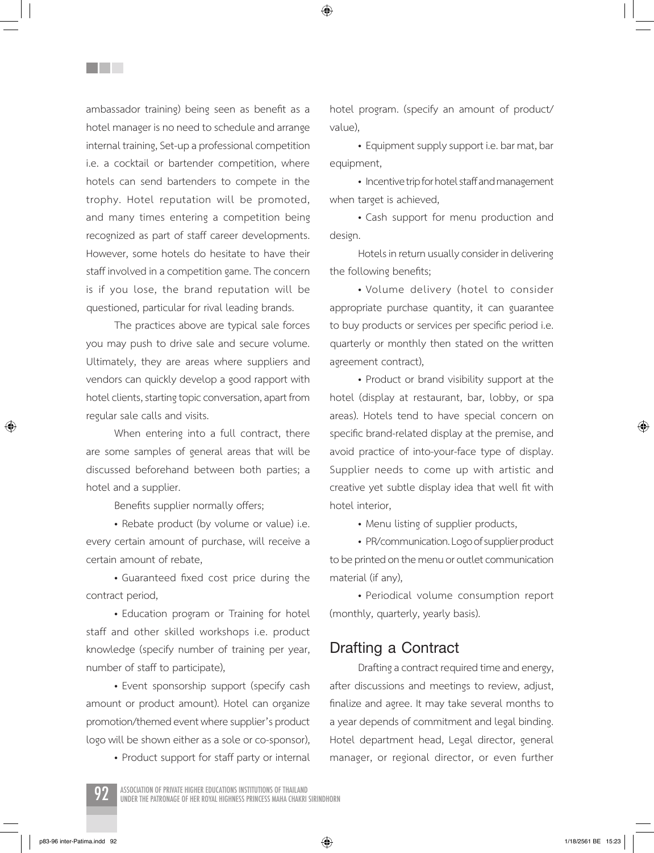ambassador training) being seen as benefit as a hotel manager is no need to schedule and arrange internal training, Set-up a professional competition i.e. a cocktail or bartender competition, where hotels can send bartenders to compete in the trophy. Hotel reputation will be promoted, and many times entering a competition being recognized as part of staff career developments. However, some hotels do hesitate to have their staff involved in a competition game. The concern is if you lose, the brand reputation will be questioned, particular for rival leading brands.

**THE SEA** 

The practices above are typical sale forces you may push to drive sale and secure volume. Ultimately, they are areas where suppliers and vendors can quickly develop a good rapport with hotel clients, starting topic conversation, apart from regular sale calls and visits.

When entering into a full contract, there are some samples of general areas that will be discussed beforehand between both parties; a hotel and a supplier.

Benefits supplier normally offers;

• Rebate product (by volume or value) i.e. every certain amount of purchase, will receive a certain amount of rebate,

• Guaranteed fixed cost price during the contract period,

• Education program or Training for hotel staff and other skilled workshops i.e. product knowledge (specify number of training per year, number of staff to participate),

• Event sponsorship support (specify cash amount or product amount). Hotel can organize promotion/themed event where supplier's product logo will be shown either as a sole or co-sponsor),

• Product support for staff party or internal

hotel program. (specify an amount of product/ value),

◈

• Equipment supply support i.e. bar mat, bar equipment,

• Incentive trip for hotel staff and management when target is achieved,

• Cash support for menu production and design.

Hotels in return usually consider in delivering the following benefits;

• Volume delivery (hotel to consider appropriate purchase quantity, it can guarantee to buy products or services per specific period i.e. quarterly or monthly then stated on the written agreement contract),

• Product or brand visibility support at the hotel (display at restaurant, bar, lobby, or spa areas). Hotels tend to have special concern on specific brand-related display at the premise, and avoid practice of into-your-face type of display. Supplier needs to come up with artistic and creative yet subtle display idea that well fit with hotel interior,

• Menu listing of supplier products,

• PR/communication. Logo of supplier product to be printed on the menu or outlet communication material (if any),

• Periodical volume consumption report (monthly, quarterly, yearly basis).

#### **Drafting a Contract**

Drafting a contract required time and energy, after discussions and meetings to review, adjust, finalize and agree. It may take several months to a year depends of commitment and legal binding. Hotel department head, Legal director, general manager, or regional director, or even further



p83-96 inter-Patima.indd 92  $\longleftrightarrow$  1/18/2561 BE 15:23

⊕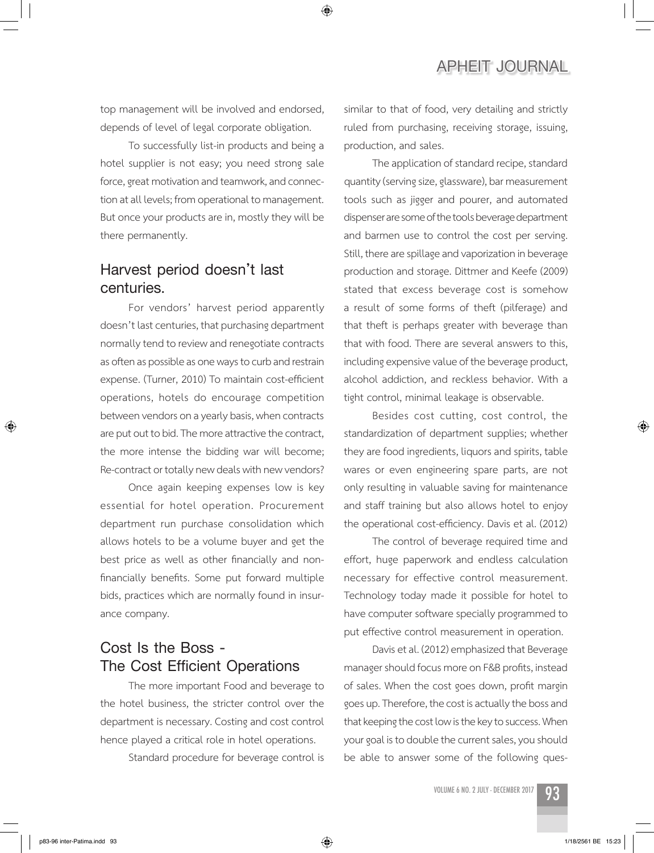top management will be involved and endorsed, depends of level of legal corporate obligation.

◈

To successfully list-in products and being a hotel supplier is not easy; you need strong sale force, great motivation and teamwork, and connection at all levels; from operational to management. But once your products are in, mostly they will be there permanently.

# **Harvest period doesn't last centuries.**

For vendors' harvest period apparently doesn't last centuries, that purchasing department normally tend to review and renegotiate contracts as often as possible as one ways to curb and restrain expense. (Turner, 2010) To maintain cost-efficient operations, hotels do encourage competition between vendors on a yearly basis, when contracts are put out to bid. The more attractive the contract, the more intense the bidding war will become; Re-contract or totally new deals with new vendors?

Once again keeping expenses low is key essential for hotel operation. Procurement department run purchase consolidation which allows hotels to be a volume buyer and get the best price as well as other financially and nonfinancially benefits. Some put forward multiple bids, practices which are normally found in insurance company.

# **Cost Is the Boss - The Cost Efficient Operations**

The more important Food and beverage to the hotel business, the stricter control over the department is necessary. Costing and cost control hence played a critical role in hotel operations.

Standard procedure for beverage control is

similar to that of food, very detailing and strictly ruled from purchasing, receiving storage, issuing, production, and sales.

The application of standard recipe, standard quantity (serving size, glassware), bar measurement tools such as jigger and pourer, and automated dispenser are some of the tools beverage department and barmen use to control the cost per serving. Still, there are spillage and vaporization in beverage production and storage. Dittmer and Keefe (2009) stated that excess beverage cost is somehow a result of some forms of theft (pilferage) and that theft is perhaps greater with beverage than that with food. There are several answers to this, including expensive value of the beverage product, alcohol addiction, and reckless behavior. With a tight control, minimal leakage is observable.

Besides cost cutting, cost control, the standardization of department supplies; whether they are food ingredients, liquors and spirits, table wares or even engineering spare parts, are not only resulting in valuable saving for maintenance and staff training but also allows hotel to enjoy the operational cost-efficiency. Davis et al. (2012)

The control of beverage required time and effort, huge paperwork and endless calculation necessary for effective control measurement. Technology today made it possible for hotel to have computer software specially programmed to put effective control measurement in operation.

Davis et al. (2012) emphasized that Beverage manager should focus more on F&B profits, instead of sales. When the cost goes down, profit margin goes up. Therefore, the cost is actually the boss and that keeping the cost low is the key to success. When your goal is to double the current sales, you should be able to answer some of the following ques-



⊕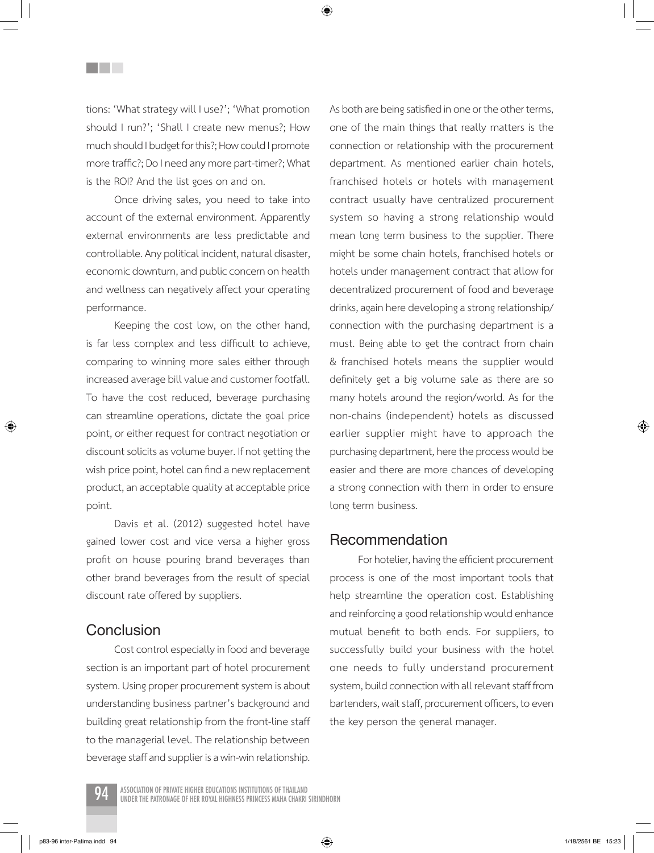tions: 'What strategy will I use?'; 'What promotion should I run?'; 'Shall I create new menus?; How much should I budget for this?; How could I promote more traffic?; Do I need any more part-timer?; What is the ROI? And the list goes on and on.

**THE SEA** 

Once driving sales, you need to take into account of the external environment. Apparently external environments are less predictable and controllable. Any political incident, natural disaster, economic downturn, and public concern on health and wellness can negatively affect your operating performance.

Keeping the cost low, on the other hand, is far less complex and less difficult to achieve, comparing to winning more sales either through increased average bill value and customer footfall. To have the cost reduced, beverage purchasing can streamline operations, dictate the goal price point, or either request for contract negotiation or discount solicits as volume buyer. If not getting the wish price point, hotel can find a new replacement product, an acceptable quality at acceptable price point.

Davis et al. (2012) suggested hotel have gained lower cost and vice versa a higher gross profit on house pouring brand beverages than other brand beverages from the result of special discount rate offered by suppliers.

#### **Conclusion**

Cost control especially in food and beverage section is an important part of hotel procurement system. Using proper procurement system is about understanding business partner's background and building great relationship from the front-line staff to the managerial level. The relationship between beverage staff and supplier is a win-win relationship. As both are being satisfied in one or the other terms, one of the main things that really matters is the connection or relationship with the procurement department. As mentioned earlier chain hotels, franchised hotels or hotels with management contract usually have centralized procurement system so having a strong relationship would mean long term business to the supplier. There might be some chain hotels, franchised hotels or hotels under management contract that allow for decentralized procurement of food and beverage drinks, again here developing a strong relationship/ connection with the purchasing department is a must. Being able to get the contract from chain & franchised hotels means the supplier would definitely get a big volume sale as there are so many hotels around the region/world. As for the non-chains (independent) hotels as discussed earlier supplier might have to approach the purchasing department, here the process would be easier and there are more chances of developing a strong connection with them in order to ensure long term business.

#### **Recommendation**

For hotelier, having the efficient procurement process is one of the most important tools that help streamline the operation cost. Establishing and reinforcing a good relationship would enhance mutual benefit to both ends. For suppliers, to successfully build your business with the hotel one needs to fully understand procurement system, build connection with all relevant staff from bartenders, wait staff, procurement officers, to even the key person the general manager.

ASSOCIATION OF PRIVATE HIGHER EDUCATIONS INSTITUTIONS OF THAILAND<br>UNDER THE PATRONAGE OF HER ROYAL HIGHNESS PRINCESS MAHA CHAKRI SIRINDHORN

⊕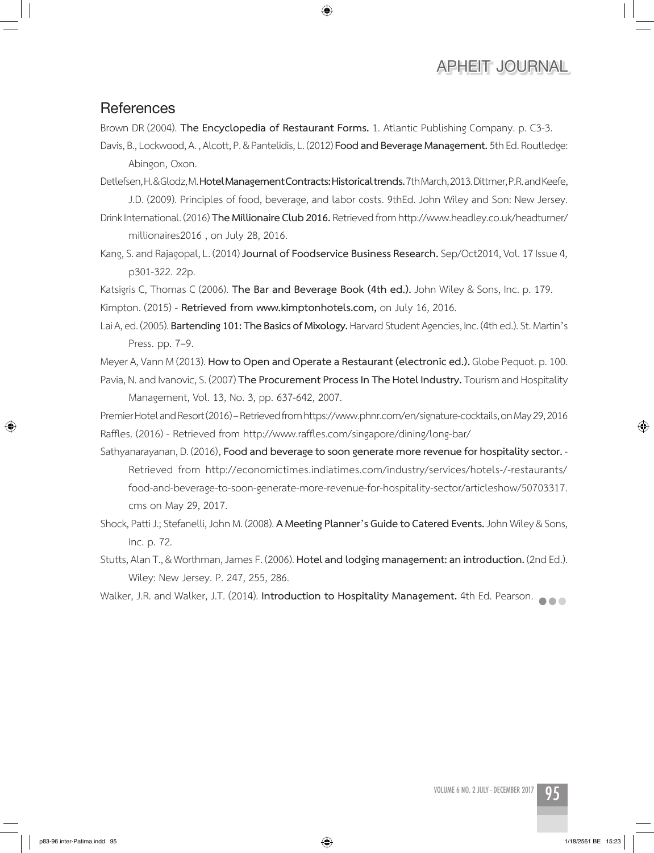#### **References**

Brown DR (2004). **The Encyclopedia of Restaurant Forms.** 1. Atlantic Publishing Company. p. C3-3.

◈

Davis, B., Lockwood, A. , Alcott, P. & Pantelidis, L. (2012) **Food and Beverage Management.** 5th Ed. Routledge: Abingon, Oxon.

Detlefsen, H. & Glodz, M. **Hotel Management Contracts: Historical trends.** 7th March, 2013. Dittmer, P.R. and Keefe, J.D. (2009). Principles of food, beverage, and labor costs. 9thEd. John Wiley and Son: New Jersey.

Drink International. (2016) **The Millionaire Club 2016.** Retrieved from http://www.headley.co.uk/headturner/ millionaires2016 , on July 28, 2016.

Kang, S. and Rajagopal, L. (2014) **Journal of Foodservice Business Research.** Sep/Oct2014, Vol. 17 Issue 4, p301-322. 22p.

Katsigris C, Thomas C (2006). **The Bar and Beverage Book (4th ed.).** John Wiley & Sons, Inc. p. 179. Kimpton. (2015) - **Retrieved from www.kimptonhotels.com,** on July 16, 2016.

Lai A, ed. (2005). **Bartending 101: The Basics of Mixology.** Harvard Student Agencies, Inc. (4th ed.). St. Martin's Press. pp. 7–9.

Meyer A, Vann M (2013). **How to Open and Operate a Restaurant (electronic ed.).** Globe Pequot. p. 100. Pavia, N. and Ivanovic, S. (2007) **The Procurement Process In The Hotel Industry.** Tourism and Hospitality Management, Vol. 13, No. 3, pp. 637-642, 2007.

Premier Hotel and Resort (2016) – Retrieved from https://www.phnr.com/en/signature-cocktails, on May 29, 2016 Raffles. (2016) - Retrieved from http://www.raffles.com/singapore/dining/long-bar/

Sathyanarayanan, D. (2016)' **Food and beverage to soon generate more revenue for hospitality sector.** - Retrieved from http://economictimes.indiatimes.com/industry/services/hotels-/-restaurants/ food-and-beverage-to-soon-generate-more-revenue-for-hospitality-sector/articleshow/50703317. cms on May 29, 2017.

Shock, Patti J.; Stefanelli, John M. (2008). **A Meeting Planner's Guide to Catered Events.** John Wiley & Sons, Inc. p. 72.

Stutts, Alan T., & Worthman, James F. (2006). **Hotel and lodging management: an introduction.** (2nd Ed.). Wiley: New Jersey. P. 247, 255, 286.

Walker, J.R. and Walker, J.T. (2014). **Introduction to Hospitality Management.** 4th Ed. Pearson.

⊕